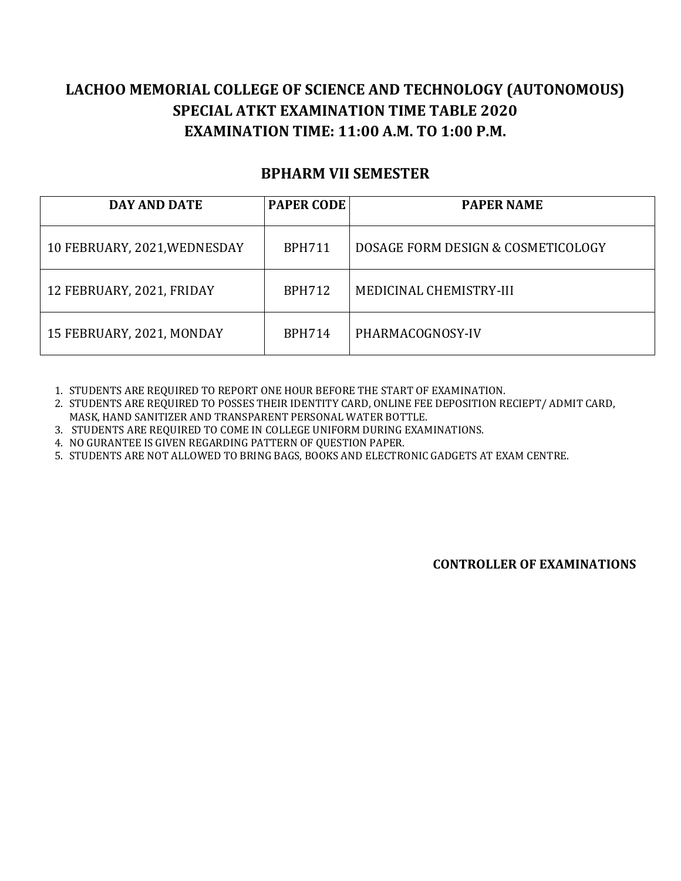## **LACHOO MEMORIAL COLLEGE OF SCIENCE AND TECHNOLOGY (AUTONOMOUS) SPECIAL ATKT EXAMINATION TIME TABLE 2020 EXAMINATION TIME: 11:00 A.M. TO 1:00 P.M.**

## **BPHARM VII SEMESTER**

| DAY AND DATE                 | <b>PAPER CODE</b> | <b>PAPER NAME</b>                  |
|------------------------------|-------------------|------------------------------------|
| 10 FEBRUARY, 2021, WEDNESDAY | <b>BPH711</b>     | DOSAGE FORM DESIGN & COSMETICOLOGY |
| 12 FEBRUARY, 2021, FRIDAY    | <b>BPH712</b>     | MEDICINAL CHEMISTRY-III            |
| 15 FEBRUARY, 2021, MONDAY    | <b>BPH714</b>     | PHARMACOGNOSY-IV                   |

1. STUDENTS ARE REQUIRED TO REPORT ONE HOUR BEFORE THE START OF EXAMINATION.

2. STUDENTS ARE REQUIRED TO POSSES THEIR IDENTITY CARD, ONLINE FEE DEPOSITION RECIEPT/ ADMIT CARD, MASK, HAND SANITIZER AND TRANSPARENT PERSONAL WATER BOTTLE.

3. STUDENTS ARE REQUIRED TO COME IN COLLEGE UNIFORM DURING EXAMINATIONS.

4. NO GURANTEE IS GIVEN REGARDING PATTERN OF QUESTION PAPER.

5. STUDENTS ARE NOT ALLOWED TO BRING BAGS, BOOKS AND ELECTRONIC GADGETS AT EXAM CENTRE.

**CONTROLLER OF EXAMINATIONS**